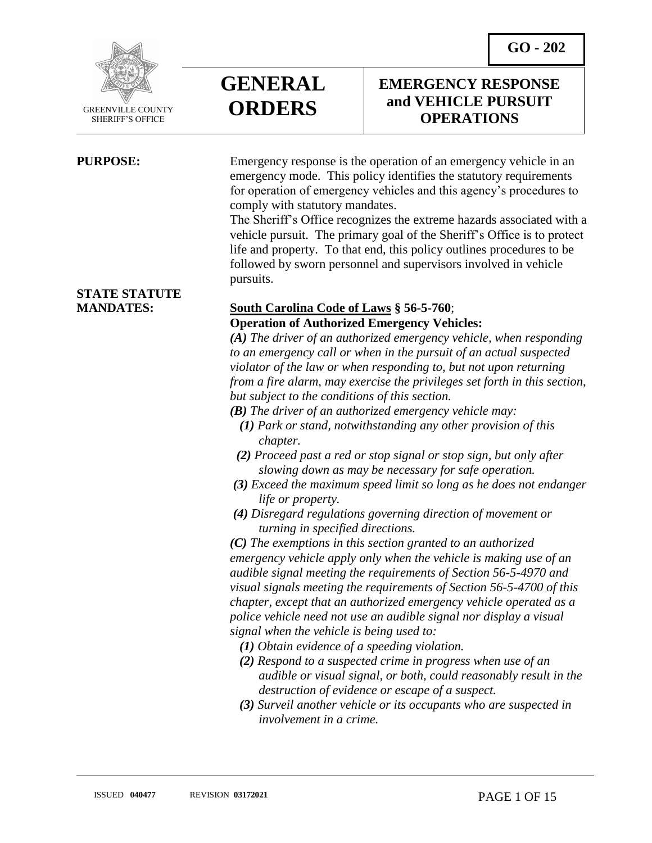**GO - 202** 



 GREENVILLE COUNTY SHERIFF'S OFFICE

 $\overline{a}$ 

**GENERAL ORDERS**

**PURPOSE:** Emergency response is the operation of an emergency vehicle in an emergency mode. This policy identifies the statutory requirements for operation of emergency vehicles and this agency's procedures to comply with statutory mandates.

> The Sheriff's Office recognizes the extreme hazards associated with a vehicle pursuit. The primary goal of the Sheriff's Office is to protect life and property. To that end, this policy outlines procedures to be followed by sworn personnel and supervisors involved in vehicle pursuits.

# **STATE STATUTE**

### **MANDATES: South Carolina Code of Laws § 56-5-760**; **Operation of Authorized Emergency Vehicles:**

*(A) The driver of an authorized emergency vehicle, when responding to an emergency call or when in the pursuit of an actual suspected violator of the law or when responding to, but not upon returning from a fire alarm, may exercise the privileges set forth in this section, but subject to the conditions of this section.*

- *(B) The driver of an authorized emergency vehicle may:*
	- *(1) Park or stand, notwithstanding any other provision of this chapter.*
- *(2) Proceed past a red or stop signal or stop sign, but only after slowing down as may be necessary for safe operation.*
- *(3) Exceed the maximum speed limit so long as he does not endanger life or property.*
- *(4) Disregard regulations governing direction of movement or turning in specified directions.*

*(C) The exemptions in this section granted to an authorized emergency vehicle apply only when the vehicle is making use of an audible signal meeting the requirements of Section 56-5-4970 and visual signals meeting the requirements of Section 56-5-4700 of this chapter, except that an authorized emergency vehicle operated as a police vehicle need not use an audible signal nor display a visual signal when the vehicle is being used to:*

- *(1) Obtain evidence of a speeding violation.*
- *(2) Respond to a suspected crime in progress when use of an audible or visual signal, or both, could reasonably result in the destruction of evidence or escape of a suspect.*
- *(3) Surveil another vehicle or its occupants who are suspected in involvement in a crime.*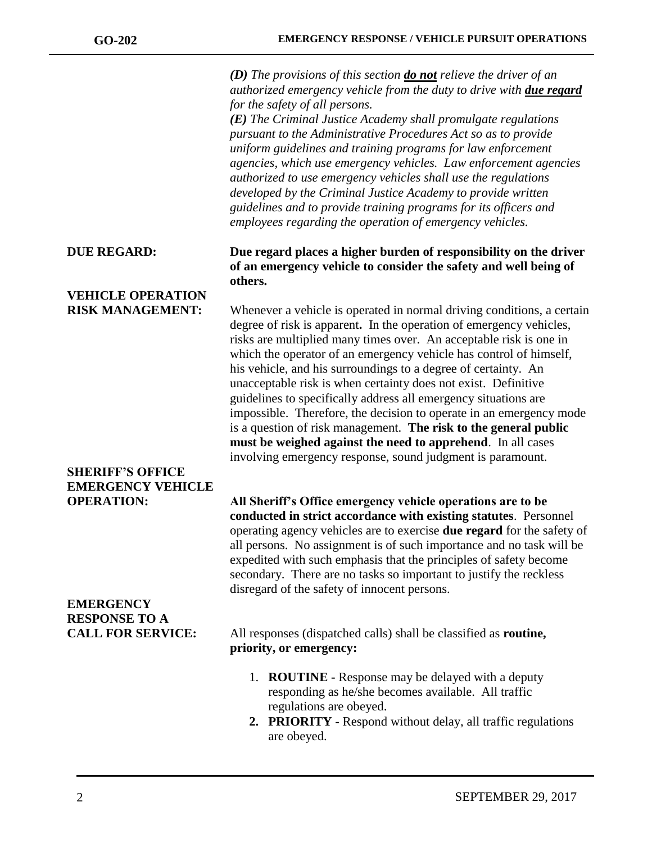*(D) The provisions of this section do not relieve the driver of an authorized emergency vehicle from the duty to drive with due regard for the safety of all persons.*

*(E) The Criminal Justice Academy shall promulgate regulations pursuant to the Administrative Procedures Act so as to provide uniform guidelines and training programs for law enforcement agencies, which use emergency vehicles. Law enforcement agencies authorized to use emergency vehicles shall use the regulations developed by the Criminal Justice Academy to provide written guidelines and to provide training programs for its officers and employees regarding the operation of emergency vehicles.*

#### **DUE REGARD: Due regard places a higher burden of responsibility on the driver of an emergency vehicle to consider the safety and well being of others.**

**RISK MANAGEMENT:** Whenever a vehicle is operated in normal driving conditions, a certain degree of risk is apparent**.** In the operation of emergency vehicles, risks are multiplied many times over. An acceptable risk is one in which the operator of an emergency vehicle has control of himself, his vehicle, and his surroundings to a degree of certainty. An unacceptable risk is when certainty does not exist. Definitive guidelines to specifically address all emergency situations are impossible. Therefore, the decision to operate in an emergency mode is a question of risk management. **The risk to the general public must be weighed against the need to apprehend**. In all cases involving emergency response, sound judgment is paramount.

**OPERATION: All Sheriff's Office emergency vehicle operations are to be conducted in strict accordance with existing statutes**. Personnel operating agency vehicles are to exercise **due regard** for the safety of all persons. No assignment is of such importance and no task will be expedited with such emphasis that the principles of safety become secondary. There are no tasks so important to justify the reckless disregard of the safety of innocent persons.

**CALL FOR SERVICE:** All responses (dispatched calls) shall be classified as **routine, priority, or emergency:**

- 1. **ROUTINE -** Response may be delayed with a deputy responding as he/she becomes available. All traffic regulations are obeyed.
- **2. PRIORITY** Respond without delay, all traffic regulations are obeyed.

# **VEHICLE OPERATION**

# **SHERIFF'S OFFICE EMERGENCY VEHICLE**

# **EMERGENCY RESPONSE TO A**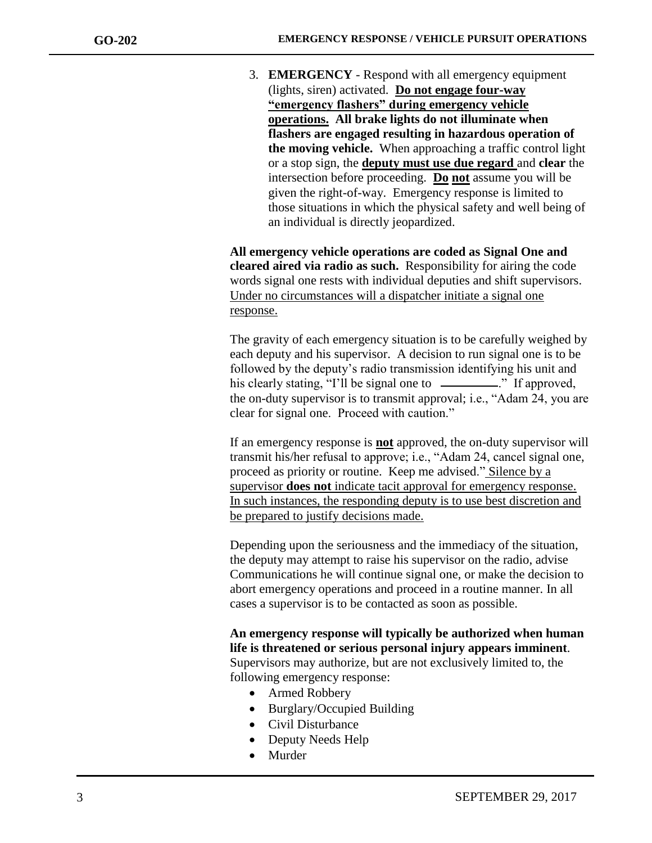3. **EMERGENCY** - Respond with all emergency equipment (lights, siren) activated. **Do not engage four-way "emergency flashers" during emergency vehicle operations. All brake lights do not illuminate when flashers are engaged resulting in hazardous operation of the moving vehicle.** When approaching a traffic control light or a stop sign, the **deputy must use due regard** and **clear** the intersection before proceeding. **Do not** assume you will be given the right-of-way. Emergency response is limited to those situations in which the physical safety and well being of an individual is directly jeopardized.

**All emergency vehicle operations are coded as Signal One and cleared aired via radio as such.** Responsibility for airing the code words signal one rests with individual deputies and shift supervisors. Under no circumstances will a dispatcher initiate a signal one response.

The gravity of each emergency situation is to be carefully weighed by each deputy and his supervisor. A decision to run signal one is to be followed by the deputy's radio transmission identifying his unit and his clearly stating, "I'll be signal one to \_\_\_\_\_\_\_\_\_." If approved, the on-duty supervisor is to transmit approval; i.e., "Adam 24, you are clear for signal one. Proceed with caution."

If an emergency response is **not** approved, the on-duty supervisor will transmit his/her refusal to approve; i.e., "Adam 24, cancel signal one, proceed as priority or routine. Keep me advised." Silence by a supervisor **does not** indicate tacit approval for emergency response. In such instances, the responding deputy is to use best discretion and be prepared to justify decisions made.

Depending upon the seriousness and the immediacy of the situation, the deputy may attempt to raise his supervisor on the radio, advise Communications he will continue signal one, or make the decision to abort emergency operations and proceed in a routine manner. In all cases a supervisor is to be contacted as soon as possible.

**An emergency response will typically be authorized when human life is threatened or serious personal injury appears imminent**. Supervisors may authorize, but are not exclusively limited to, the following emergency response:

- Armed Robbery
- Burglary/Occupied Building
- Civil Disturbance
- Deputy Needs Help
- Murder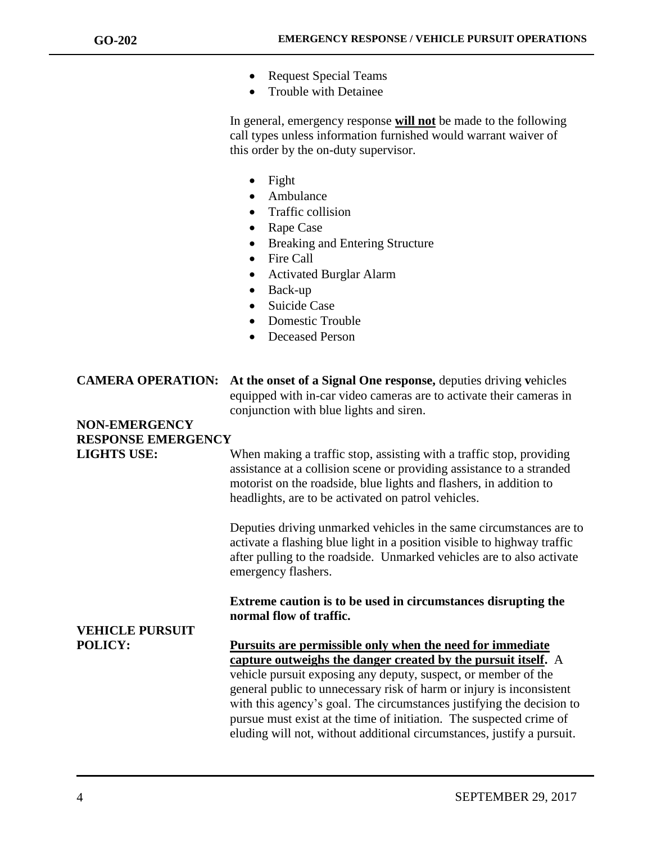- Request Special Teams
- Trouble with Detainee

In general, emergency response **will not** be made to the following call types unless information furnished would warrant waiver of this order by the on-duty supervisor.

- Fight
- Ambulance
- Traffic collision
- Rape Case
- Breaking and Entering Structure
- Fire Call
- Activated Burglar Alarm
- Back-up
- Suicide Case
- Domestic Trouble
- Deceased Person

| <b>CAMERA OPERATION:</b> At the onset of a Signal One response, deputies driving vehicles |
|-------------------------------------------------------------------------------------------|
| equipped with in-car video cameras are to activate their cameras in                       |
| conjunction with blue lights and siren.                                                   |

# **NON-EMERGENCY RESPONSE EMERGENCY**

**LIGHTS USE:** When making a traffic stop, assisting with a traffic stop, providing assistance at a collision scene or providing assistance to a stranded motorist on the roadside, blue lights and flashers, in addition to headlights, are to be activated on patrol vehicles.

> Deputies driving unmarked vehicles in the same circumstances are to activate a flashing blue light in a position visible to highway traffic after pulling to the roadside. Unmarked vehicles are to also activate emergency flashers.

**Extreme caution is to be used in circumstances disrupting the normal flow of traffic.**

# **VEHICLE PURSUIT**

**POLICY: Pursuits are permissible only when the need for immediate capture outweighs the danger created by the pursuit itself.** A vehicle pursuit exposing any deputy, suspect, or member of the general public to unnecessary risk of harm or injury is inconsistent with this agency's goal. The circumstances justifying the decision to pursue must exist at the time of initiation. The suspected crime of eluding will not, without additional circumstances, justify a pursuit.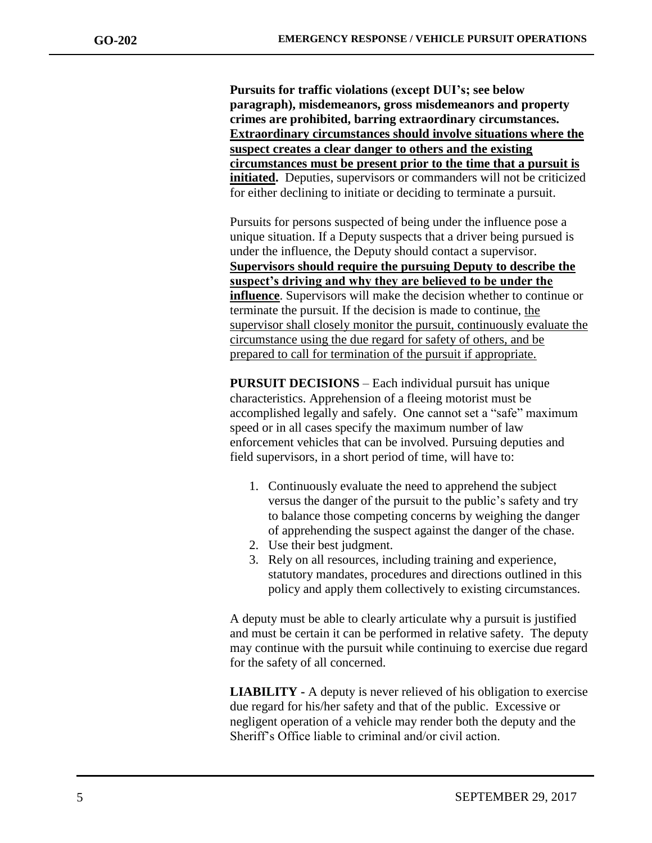**Pursuits for traffic violations (except DUI's; see below paragraph), misdemeanors, gross misdemeanors and property crimes are prohibited, barring extraordinary circumstances. Extraordinary circumstances should involve situations where the suspect creates a clear danger to others and the existing circumstances must be present prior to the time that a pursuit is initiated.** Deputies, supervisors or commanders will not be criticized for either declining to initiate or deciding to terminate a pursuit.

Pursuits for persons suspected of being under the influence pose a unique situation. If a Deputy suspects that a driver being pursued is under the influence, the Deputy should contact a supervisor. **Supervisors should require the pursuing Deputy to describe the suspect's driving and why they are believed to be under the influence**. Supervisors will make the decision whether to continue or terminate the pursuit. If the decision is made to continue, the supervisor shall closely monitor the pursuit, continuously evaluate the circumstance using the due regard for safety of others, and be prepared to call for termination of the pursuit if appropriate.

**PURSUIT DECISIONS** – Each individual pursuit has unique characteristics. Apprehension of a fleeing motorist must be accomplished legally and safely. One cannot set a "safe" maximum speed or in all cases specify the maximum number of law enforcement vehicles that can be involved. Pursuing deputies and field supervisors, in a short period of time, will have to:

- 1. Continuously evaluate the need to apprehend the subject versus the danger of the pursuit to the public's safety and try to balance those competing concerns by weighing the danger of apprehending the suspect against the danger of the chase.
- 2. Use their best judgment.
- 3. Rely on all resources, including training and experience, statutory mandates, procedures and directions outlined in this policy and apply them collectively to existing circumstances.

A deputy must be able to clearly articulate why a pursuit is justified and must be certain it can be performed in relative safety. The deputy may continue with the pursuit while continuing to exercise due regard for the safety of all concerned.

**LIABILITY -** A deputy is never relieved of his obligation to exercise due regard for his/her safety and that of the public. Excessive or negligent operation of a vehicle may render both the deputy and the Sheriff's Office liable to criminal and/or civil action.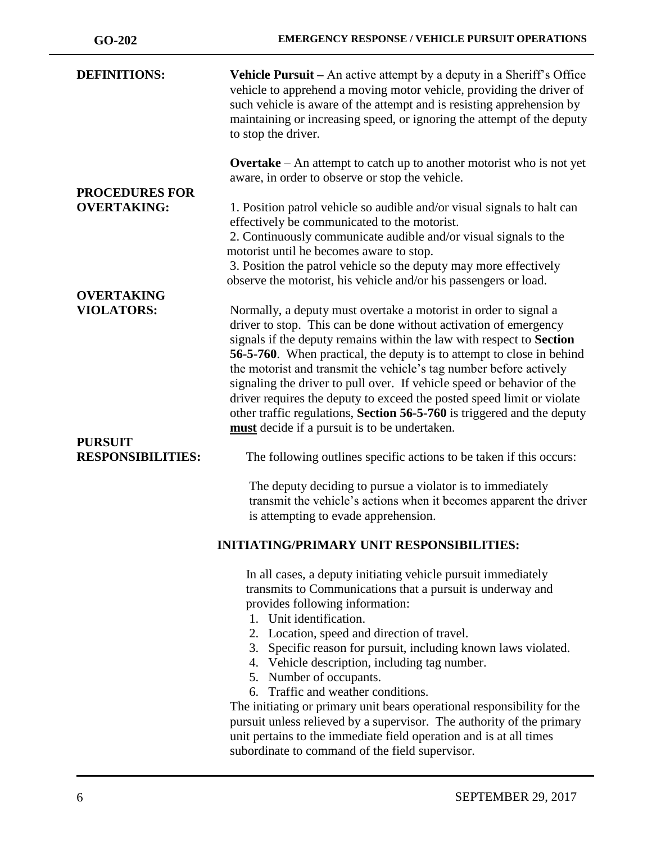| <b>DEFINITIONS:</b>                         | <b>Vehicle Pursuit</b> – An active attempt by a deputy in a Sheriff's Office<br>vehicle to apprehend a moving motor vehicle, providing the driver of<br>such vehicle is aware of the attempt and is resisting apprehension by<br>maintaining or increasing speed, or ignoring the attempt of the deputy<br>to stop the driver.                                                                                                                                                                                                                                                                                                              |
|---------------------------------------------|---------------------------------------------------------------------------------------------------------------------------------------------------------------------------------------------------------------------------------------------------------------------------------------------------------------------------------------------------------------------------------------------------------------------------------------------------------------------------------------------------------------------------------------------------------------------------------------------------------------------------------------------|
|                                             | <b>Overtake</b> – An attempt to catch up to another motorist who is not yet<br>aware, in order to observe or stop the vehicle.                                                                                                                                                                                                                                                                                                                                                                                                                                                                                                              |
| <b>PROCEDURES FOR</b><br><b>OVERTAKING:</b> | 1. Position patrol vehicle so audible and/or visual signals to halt can<br>effectively be communicated to the motorist.<br>2. Continuously communicate audible and/or visual signals to the<br>motorist until he becomes aware to stop.                                                                                                                                                                                                                                                                                                                                                                                                     |
|                                             | 3. Position the patrol vehicle so the deputy may more effectively<br>observe the motorist, his vehicle and/or his passengers or load.                                                                                                                                                                                                                                                                                                                                                                                                                                                                                                       |
| <b>OVERTAKING</b>                           |                                                                                                                                                                                                                                                                                                                                                                                                                                                                                                                                                                                                                                             |
| <b>VIOLATORS:</b>                           | Normally, a deputy must overtake a motorist in order to signal a<br>driver to stop. This can be done without activation of emergency<br>signals if the deputy remains within the law with respect to Section<br>56-5-760. When practical, the deputy is to attempt to close in behind<br>the motorist and transmit the vehicle's tag number before actively<br>signaling the driver to pull over. If vehicle speed or behavior of the<br>driver requires the deputy to exceed the posted speed limit or violate<br>other traffic regulations, Section 56-5-760 is triggered and the deputy<br>must decide if a pursuit is to be undertaken. |
| <b>PURSUIT</b><br><b>RESPONSIBILITIES:</b>  | The following outlines specific actions to be taken if this occurs:                                                                                                                                                                                                                                                                                                                                                                                                                                                                                                                                                                         |
|                                             | The deputy deciding to pursue a violator is to immediately<br>transmit the vehicle's actions when it becomes apparent the driver<br>is attempting to evade apprehension.                                                                                                                                                                                                                                                                                                                                                                                                                                                                    |
|                                             | <b>INITIATING/PRIMARY UNIT RESPONSIBILITIES:</b>                                                                                                                                                                                                                                                                                                                                                                                                                                                                                                                                                                                            |
|                                             | In all cases, a deputy initiating vehicle pursuit immediately<br>transmits to Communications that a pursuit is underway and<br>provides following information:<br>1. Unit identification.<br>2. Location, speed and direction of travel.                                                                                                                                                                                                                                                                                                                                                                                                    |
|                                             | Specific reason for pursuit, including known laws violated.<br>3.<br>4. Vehicle description, including tag number.<br>5. Number of occupants.                                                                                                                                                                                                                                                                                                                                                                                                                                                                                               |
|                                             | 6. Traffic and weather conditions.                                                                                                                                                                                                                                                                                                                                                                                                                                                                                                                                                                                                          |
|                                             | The initiating or primary unit bears operational responsibility for the                                                                                                                                                                                                                                                                                                                                                                                                                                                                                                                                                                     |
|                                             | pursuit unless relieved by a supervisor. The authority of the primary                                                                                                                                                                                                                                                                                                                                                                                                                                                                                                                                                                       |
|                                             | unit pertains to the immediate field operation and is at all times                                                                                                                                                                                                                                                                                                                                                                                                                                                                                                                                                                          |
|                                             | subordinate to command of the field supervisor.                                                                                                                                                                                                                                                                                                                                                                                                                                                                                                                                                                                             |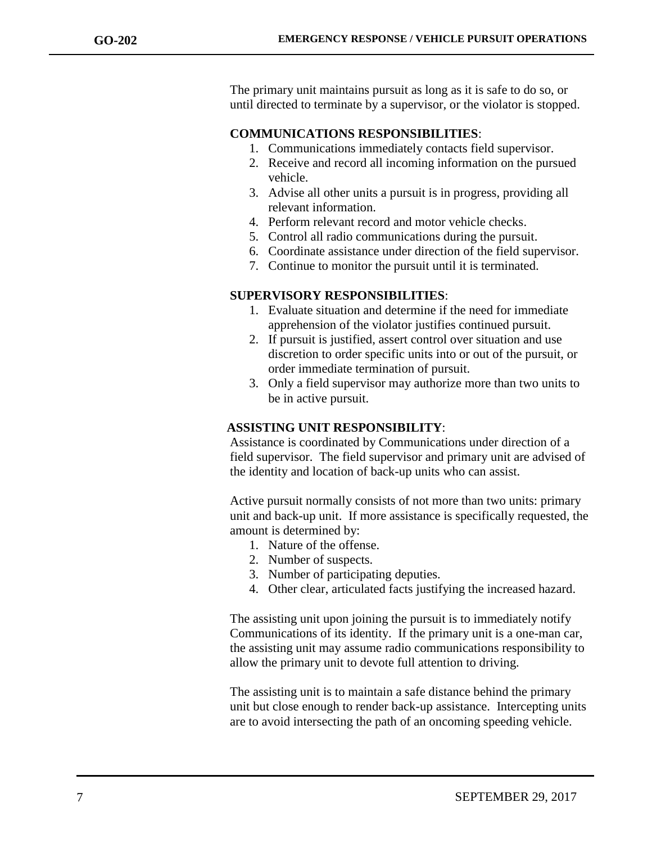The primary unit maintains pursuit as long as it is safe to do so, or until directed to terminate by a supervisor, or the violator is stopped.

#### **COMMUNICATIONS RESPONSIBILITIES**:

- 1. Communications immediately contacts field supervisor.
- 2. Receive and record all incoming information on the pursued vehicle.
- 3. Advise all other units a pursuit is in progress, providing all relevant information.
- 4. Perform relevant record and motor vehicle checks.
- 5. Control all radio communications during the pursuit.
- 6. Coordinate assistance under direction of the field supervisor.
- 7. Continue to monitor the pursuit until it is terminated.

#### **SUPERVISORY RESPONSIBILITIES**:

- 1. Evaluate situation and determine if the need for immediate apprehension of the violator justifies continued pursuit.
- 2. If pursuit is justified, assert control over situation and use discretion to order specific units into or out of the pursuit, or order immediate termination of pursuit.
- 3. Only a field supervisor may authorize more than two units to be in active pursuit.

#### **ASSISTING UNIT RESPONSIBILITY**:

Assistance is coordinated by Communications under direction of a field supervisor. The field supervisor and primary unit are advised of the identity and location of back-up units who can assist.

Active pursuit normally consists of not more than two units: primary unit and back-up unit. If more assistance is specifically requested, the amount is determined by:

- 1. Nature of the offense.
- 2. Number of suspects.
- 3. Number of participating deputies.
- 4. Other clear, articulated facts justifying the increased hazard.

The assisting unit upon joining the pursuit is to immediately notify Communications of its identity. If the primary unit is a one-man car, the assisting unit may assume radio communications responsibility to allow the primary unit to devote full attention to driving.

The assisting unit is to maintain a safe distance behind the primary unit but close enough to render back-up assistance. Intercepting units are to avoid intersecting the path of an oncoming speeding vehicle.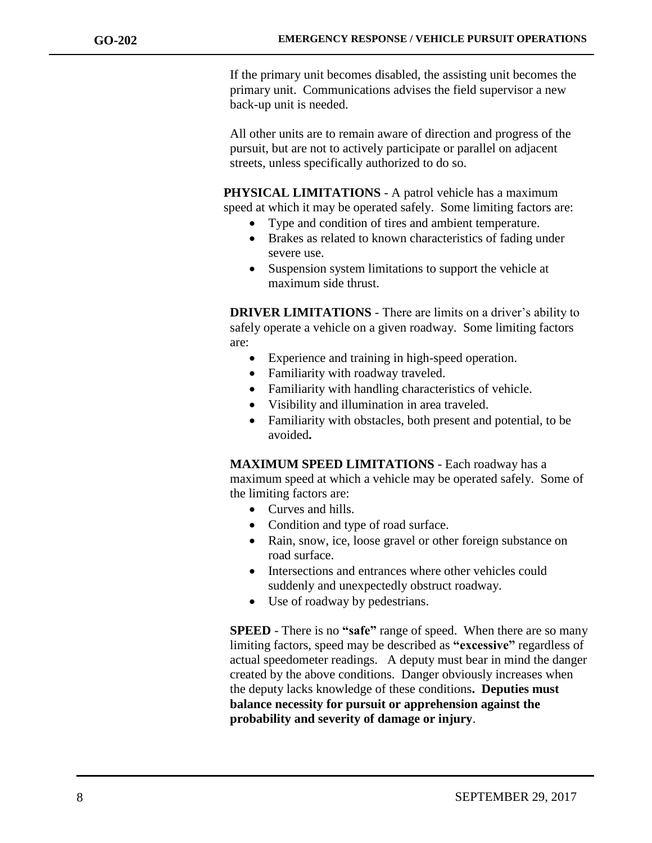If the primary unit becomes disabled, the assisting unit becomes the primary unit. Communications advises the field supervisor a new back-up unit is needed.

All other units are to remain aware of direction and progress of the pursuit, but are not to actively participate or parallel on adjacent streets, unless specifically authorized to do so.

 **PHYSICAL LIMITATIONS** - A patrol vehicle has a maximum speed at which it may be operated safely. Some limiting factors are:

- Type and condition of tires and ambient temperature.
- Brakes as related to known characteristics of fading under severe use.
- Suspension system limitations to support the vehicle at maximum side thrust.

**DRIVER LIMITATIONS** - There are limits on a driver's ability to safely operate a vehicle on a given roadway. Some limiting factors are:

- Experience and training in high-speed operation.
- Familiarity with roadway traveled.
- Familiarity with handling characteristics of vehicle.
- Visibility and illumination in area traveled.
- Familiarity with obstacles, both present and potential, to be avoided**.**

**MAXIMUM SPEED LIMITATIONS** - Each roadway has a maximum speed at which a vehicle may be operated safely. Some of the limiting factors are:

- Curves and hills.
- Condition and type of road surface.
- Rain, snow, ice, loose gravel or other foreign substance on road surface.
- Intersections and entrances where other vehicles could suddenly and unexpectedly obstruct roadway.
- Use of roadway by pedestrians.

**SPEED** - There is no **"safe"** range of speed. When there are so many limiting factors, speed may be described as **"excessive"** regardless of actual speedometer readings. A deputy must bear in mind the danger created by the above conditions. Danger obviously increases when the deputy lacks knowledge of these conditions**. Deputies must balance necessity for pursuit or apprehension against the probability and severity of damage or injury**.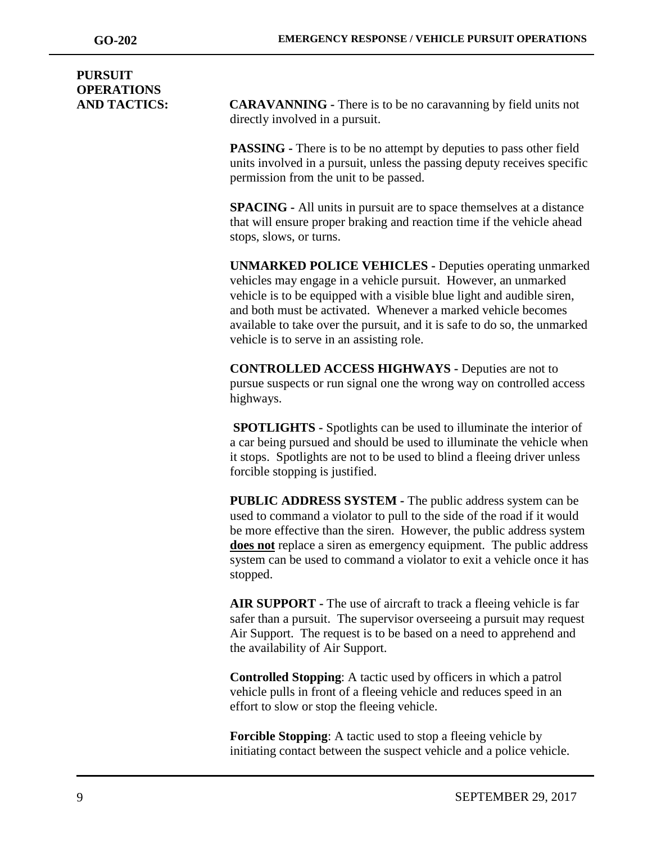# **PURSUIT OPERATIONS**

**AND TACTICS: CARAVANNING -** There is to be no caravanning by field units not directly involved in a pursuit.

> **PASSING -** There is to be no attempt by deputies to pass other field units involved in a pursuit, unless the passing deputy receives specific permission from the unit to be passed.

**SPACING -** All units in pursuit are to space themselves at a distance that will ensure proper braking and reaction time if the vehicle ahead stops, slows, or turns.

**UNMARKED POLICE VEHICLES -** Deputies operating unmarked vehicles may engage in a vehicle pursuit. However, an unmarked vehicle is to be equipped with a visible blue light and audible siren, and both must be activated. Whenever a marked vehicle becomes available to take over the pursuit, and it is safe to do so, the unmarked vehicle is to serve in an assisting role.

**CONTROLLED ACCESS HIGHWAYS -** Deputies are not to pursue suspects or run signal one the wrong way on controlled access highways.

**SPOTLIGHTS -** Spotlights can be used to illuminate the interior of a car being pursued and should be used to illuminate the vehicle when it stops. Spotlights are not to be used to blind a fleeing driver unless forcible stopping is justified.

**PUBLIC ADDRESS SYSTEM -** The public address system can be used to command a violator to pull to the side of the road if it would be more effective than the siren. However, the public address system **does not** replace a siren as emergency equipment. The public address system can be used to command a violator to exit a vehicle once it has stopped.

**AIR SUPPORT -** The use of aircraft to track a fleeing vehicle is far safer than a pursuit. The supervisor overseeing a pursuit may request Air Support. The request is to be based on a need to apprehend and the availability of Air Support.

**Controlled Stopping**: A tactic used by officers in which a patrol vehicle pulls in front of a fleeing vehicle and reduces speed in an effort to slow or stop the fleeing vehicle.

**Forcible Stopping:** A tactic used to stop a fleeing vehicle by initiating contact between the suspect vehicle and a police vehicle.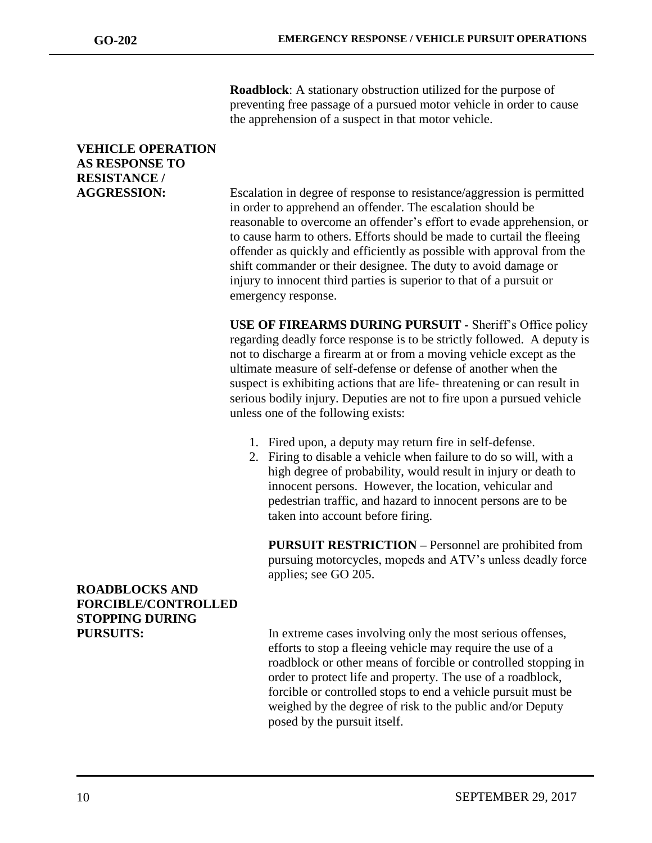**Roadblock**: A stationary obstruction utilized for the purpose of preventing free passage of a pursued motor vehicle in order to cause the apprehension of a suspect in that motor vehicle.

# **VEHICLE OPERATION AS RESPONSE TO RESISTANCE /**

**AGGRESSION:** Escalation in degree of response to resistance/aggression is permitted in order to apprehend an offender. The escalation should be reasonable to overcome an offender's effort to evade apprehension, or to cause harm to others. Efforts should be made to curtail the fleeing offender as quickly and efficiently as possible with approval from the shift commander or their designee. The duty to avoid damage or injury to innocent third parties is superior to that of a pursuit or emergency response.

> **USE OF FIREARMS DURING PURSUIT -** Sheriff's Office policy regarding deadly force response is to be strictly followed. A deputy is not to discharge a firearm at or from a moving vehicle except as the ultimate measure of self-defense or defense of another when the suspect is exhibiting actions that are life- threatening or can result in serious bodily injury. Deputies are not to fire upon a pursued vehicle unless one of the following exists:

- 1. Fired upon, a deputy may return fire in self-defense.
- 2. Firing to disable a vehicle when failure to do so will, with a high degree of probability, would result in injury or death to innocent persons. However, the location, vehicular and pedestrian traffic, and hazard to innocent persons are to be taken into account before firing.

**PURSUIT RESTRICTION –** Personnel are prohibited from pursuing motorcycles, mopeds and ATV's unless deadly force applies; see GO 205.

# **ROADBLOCKS AND FORCIBLE/CONTROLLED STOPPING DURING**

**PURSUITS:** In extreme cases involving only the most serious offenses, efforts to stop a fleeing vehicle may require the use of a roadblock or other means of forcible or controlled stopping in order to protect life and property. The use of a roadblock, forcible or controlled stops to end a vehicle pursuit must be weighed by the degree of risk to the public and/or Deputy posed by the pursuit itself.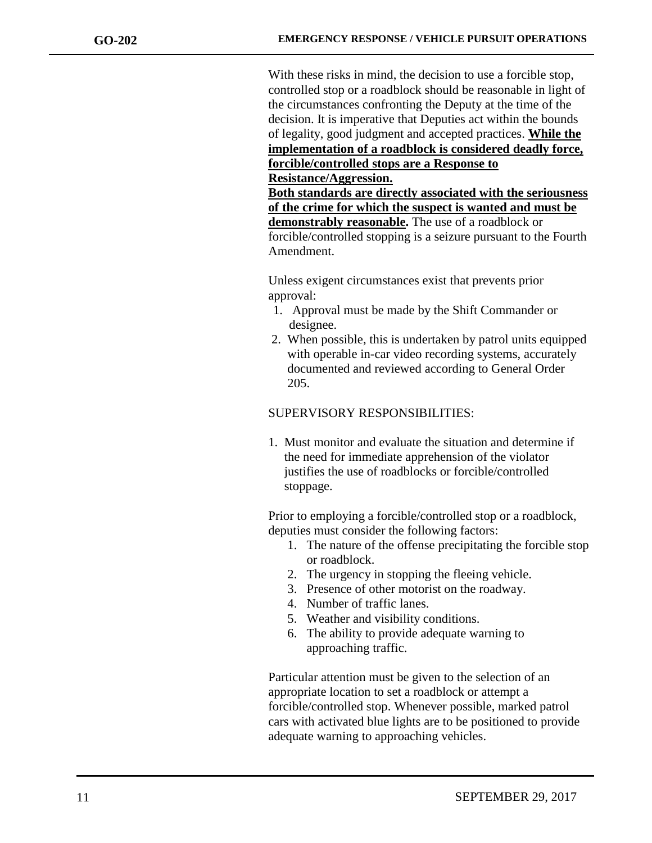With these risks in mind, the decision to use a forcible stop, controlled stop or a roadblock should be reasonable in light of the circumstances confronting the Deputy at the time of the decision. It is imperative that Deputies act within the bounds of legality, good judgment and accepted practices. **While the implementation of a roadblock is considered deadly force, forcible/controlled stops are a Response to Resistance/Aggression.**

**Both standards are directly associated with the seriousness of the crime for which the suspect is wanted and must be demonstrably reasonable.** The use of a roadblock or forcible/controlled stopping is a seizure pursuant to the Fourth Amendment.

Unless exigent circumstances exist that prevents prior approval:

- 1. Approval must be made by the Shift Commander or designee.
- 2. When possible, this is undertaken by patrol units equipped with operable in-car video recording systems, accurately documented and reviewed according to General Order 205.

### SUPERVISORY RESPONSIBILITIES:

1. Must monitor and evaluate the situation and determine if the need for immediate apprehension of the violator justifies the use of roadblocks or forcible/controlled stoppage.

Prior to employing a forcible/controlled stop or a roadblock, deputies must consider the following factors:

- 1. The nature of the offense precipitating the forcible stop or roadblock.
- 2. The urgency in stopping the fleeing vehicle.
- 3. Presence of other motorist on the roadway.
- 4. Number of traffic lanes.
- 5. Weather and visibility conditions.
- 6. The ability to provide adequate warning to approaching traffic.

Particular attention must be given to the selection of an appropriate location to set a roadblock or attempt a forcible/controlled stop. Whenever possible, marked patrol cars with activated blue lights are to be positioned to provide adequate warning to approaching vehicles.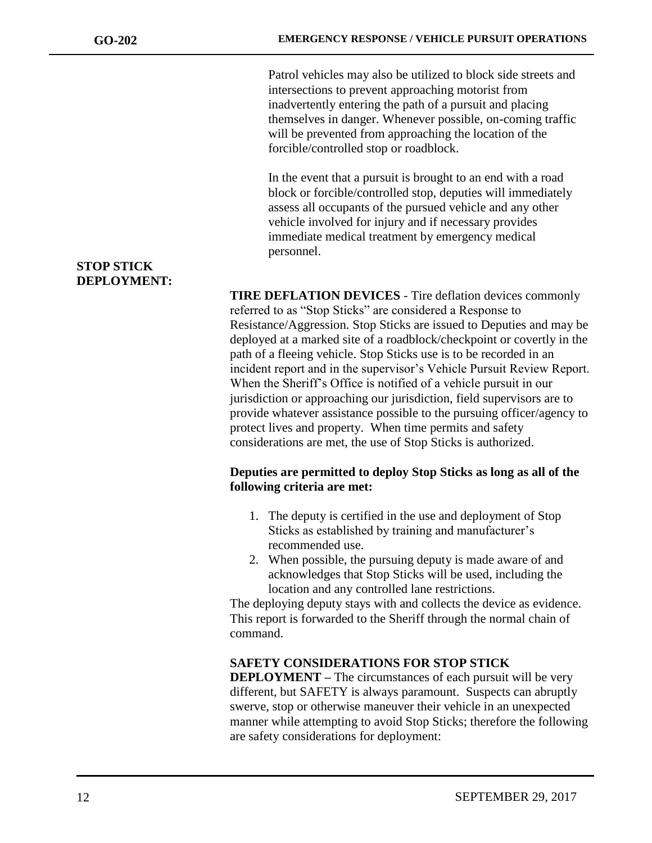Patrol vehicles may also be utilized to block side streets and intersections to prevent approaching motorist from inadvertently entering the path of a pursuit and placing themselves in danger. Whenever possible, on-coming traffic will be prevented from approaching the location of the forcible/controlled stop or roadblock.

In the event that a pursuit is brought to an end with a road block or forcible/controlled stop, deputies will immediately assess all occupants of the pursued vehicle and any other vehicle involved for injury and if necessary provides immediate medical treatment by emergency medical personnel.

**TIRE DEFLATION DEVICES** - Tire deflation devices commonly referred to as "Stop Sticks" are considered a Response to Resistance/Aggression. Stop Sticks are issued to Deputies and may be deployed at a marked site of a roadblock/checkpoint or covertly in the path of a fleeing vehicle. Stop Sticks use is to be recorded in an incident report and in the supervisor's Vehicle Pursuit Review Report. When the Sheriff's Office is notified of a vehicle pursuit in our jurisdiction or approaching our jurisdiction, field supervisors are to provide whatever assistance possible to the pursuing officer/agency to protect lives and property. When time permits and safety considerations are met, the use of Stop Sticks is authorized.

#### **Deputies are permitted to deploy Stop Sticks as long as all of the following criteria are met:**

- 1. The deputy is certified in the use and deployment of Stop Sticks as established by training and manufacturer's recommended use.
- 2. When possible, the pursuing deputy is made aware of and acknowledges that Stop Sticks will be used, including the location and any controlled lane restrictions.

The deploying deputy stays with and collects the device as evidence. This report is forwarded to the Sheriff through the normal chain of command.

#### **SAFETY CONSIDERATIONS FOR STOP STICK**

**DEPLOYMENT** – The circumstances of each pursuit will be very different, but SAFETY is always paramount. Suspects can abruptly swerve, stop or otherwise maneuver their vehicle in an unexpected manner while attempting to avoid Stop Sticks; therefore the following are safety considerations for deployment:

#### **STOP STICK DEPLOYMENT:**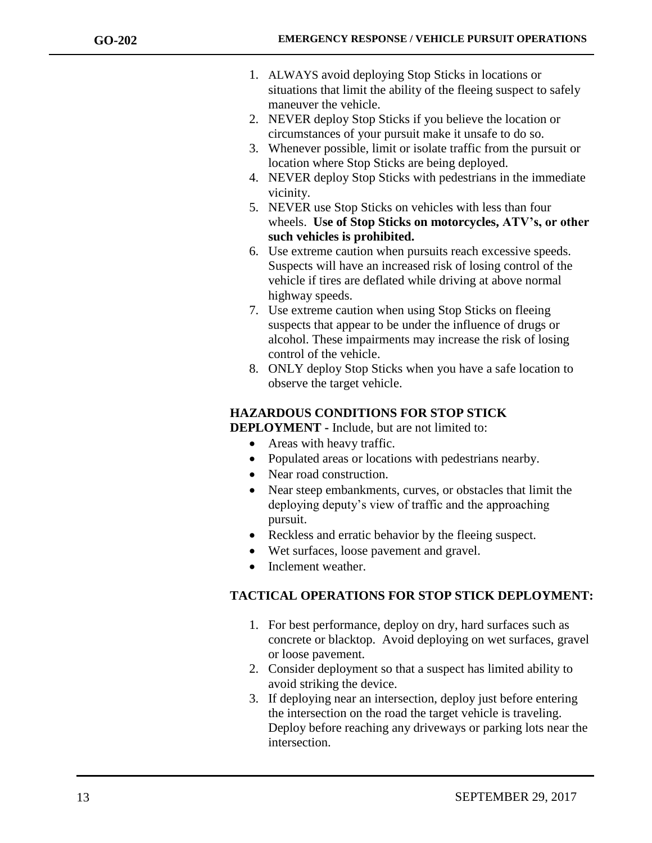- 1. ALWAYS avoid deploying Stop Sticks in locations or situations that limit the ability of the fleeing suspect to safely maneuver the vehicle.
- 2. NEVER deploy Stop Sticks if you believe the location or circumstances of your pursuit make it unsafe to do so.
- 3. Whenever possible, limit or isolate traffic from the pursuit or location where Stop Sticks are being deployed.
- 4. NEVER deploy Stop Sticks with pedestrians in the immediate vicinity.
- 5. NEVER use Stop Sticks on vehicles with less than four wheels. **Use of Stop Sticks on motorcycles, ATV's, or other such vehicles is prohibited.**
- 6. Use extreme caution when pursuits reach excessive speeds. Suspects will have an increased risk of losing control of the vehicle if tires are deflated while driving at above normal highway speeds.
- 7. Use extreme caution when using Stop Sticks on fleeing suspects that appear to be under the influence of drugs or alcohol. These impairments may increase the risk of losing control of the vehicle.
- 8. ONLY deploy Stop Sticks when you have a safe location to observe the target vehicle.

## **HAZARDOUS CONDITIONS FOR STOP STICK**

**DEPLOYMENT -** Include, but are not limited to:

- Areas with heavy traffic.
- Populated areas or locations with pedestrians nearby.
- Near road construction.
- Near steep embankments, curves, or obstacles that limit the deploying deputy's view of traffic and the approaching pursuit.
- Reckless and erratic behavior by the fleeing suspect.
- Wet surfaces, loose pavement and gravel.
- Inclement weather.

## **TACTICAL OPERATIONS FOR STOP STICK DEPLOYMENT:**

- 1. For best performance, deploy on dry, hard surfaces such as concrete or blacktop. Avoid deploying on wet surfaces, gravel or loose pavement.
- 2. Consider deployment so that a suspect has limited ability to avoid striking the device.
- 3. If deploying near an intersection, deploy just before entering the intersection on the road the target vehicle is traveling. Deploy before reaching any driveways or parking lots near the intersection.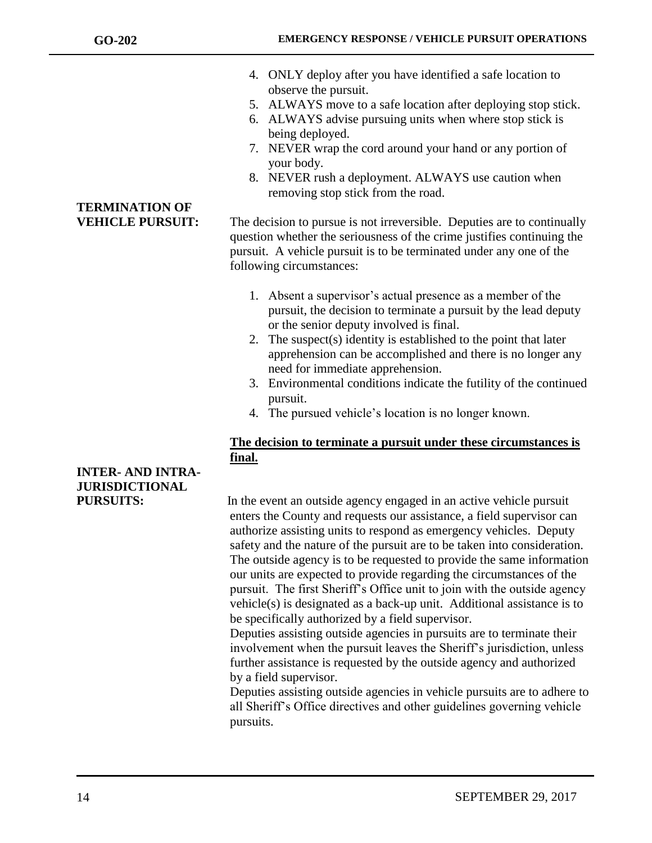**TERMINATION OF** 

- 4. ONLY deploy after you have identified a safe location to observe the pursuit.
- 5. ALWAYS move to a safe location after deploying stop stick.
- 6. ALWAYS advise pursuing units when where stop stick is being deployed.
- 7. NEVER wrap the cord around your hand or any portion of your body.
- 8. NEVER rush a deployment. ALWAYS use caution when removing stop stick from the road.

**VEHICLE PURSUIT:** The decision to pursue is not irreversible. Deputies are to continually question whether the seriousness of the crime justifies continuing the pursuit. A vehicle pursuit is to be terminated under any one of the following circumstances:

- 1. Absent a supervisor's actual presence as a member of the pursuit, the decision to terminate a pursuit by the lead deputy or the senior deputy involved is final.
- 2. The suspect(s) identity is established to the point that later apprehension can be accomplished and there is no longer any need for immediate apprehension.
- 3. Environmental conditions indicate the futility of the continued pursuit.
- 4. The pursued vehicle's location is no longer known.

## **The decision to terminate a pursuit under these circumstances is final.**

**PURSUITS:** In the event an outside agency engaged in an active vehicle pursuit enters the County and requests our assistance, a field supervisor can authorize assisting units to respond as emergency vehicles. Deputy safety and the nature of the pursuit are to be taken into consideration. The outside agency is to be requested to provide the same information our units are expected to provide regarding the circumstances of the pursuit. The first Sheriff's Office unit to join with the outside agency vehicle(s) is designated as a back-up unit. Additional assistance is to be specifically authorized by a field supervisor.

Deputies assisting outside agencies in pursuits are to terminate their involvement when the pursuit leaves the Sheriff's jurisdiction, unless further assistance is requested by the outside agency and authorized by a field supervisor.

Deputies assisting outside agencies in vehicle pursuits are to adhere to all Sheriff's Office directives and other guidelines governing vehicle pursuits.

# **INTER- AND INTRA-JURISDICTIONAL**